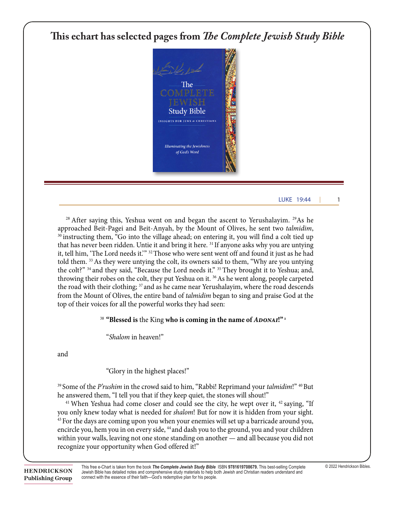## **This echart has selected pages from** *The Complete Jewish Study Bible* his echart has selected pages from *The Complete Jewish Stud*

11 While they were listening to this, Yeshua went on to tell a parable, because he was near



#### $\frac{1}{10}$ something will be given more; but from any one who has not has not has not have  $\frac{1}{10}$  $\frac{1}{27}$  However, as for the taken and mine who did not want me to be the to be the to be the to be the to be the internal me to be the to be the to be the to be the to be the to be the to be the to be the to be the to *| 1505* LUKE 19:44 | 1

 $28$  After saying this, Yeshua went on and began the ascent to Yerushalayim.  $29$ As he approached Beit-Pagei and Beit-Anyah, by the Mount of Olives, he sent two *talmidim*,<br><sup>30</sup> instructing them, "Go into the village ahead; on entering it, you will find a colt tied up that has never been ridden. Untie it and bring it here. <sup>31</sup> If anyone asks why you are untying it, tell him, 'The Lord needs it.'" <sup>32</sup> Those who were sent went off and found it just as he had told them. <sup>33</sup> As they were untying the colt, its owners said to them, "Why are you untying the colt?" <sup>34</sup> and they said, "Because the Lord needs it." <sup>35</sup> They brought it to Yeshua; and, throwing their robes on the colt, they put Yeshua on it. <sup>36</sup> As he went along, people carpeted the road with their clothing;  $\mathrm{^{37}}$  and as he came near Yerushalayim, where the road descends top of their voices for all the powerful works they had seen:  $\frac{1}{2}$ percent more. An apprehended thief had to pay the victim from the Mount of Olives, the entire band of *talmidim* began to sing and praise God at the approached Beit-Pagei and Beit-Anyah, by the Mount of Olives, he sent two talmidim,

'Sir, he already has ten *manim*!' 26 But the master answered, 'I tell you, everyone who has

#### <sup>38</sup> "Blessed is the King who is coming in the name of *ADONAI*!"<sup>a</sup>  $11$ <sup>38</sup> "Blessed is the King who is coming in the name of  $A$ DONAI!"

"*Shalom* in heaven!"

and **manehold** is about the months in the months with the months with the months with the months with the months with the months with the months with the months with the months with the months with the months with the months w

"Glory in the highest places!"

<sup>39</sup> Some of the *P'rushim* in the crowd said to him, "Rabbi! Reprimand your *talmidim*!" <sup>40</sup> But he answered them, "I tell you that if they keep quiet, the stones will shout!" **first one came in and said, 'Sir** 15 "However, he returned, having been made king, and sent for the servants to whom he Some of the *P rushim* in the crowd said to him, Rabbi! Reprimand your *talmidim*!  $\sim$  But

<sup>41</sup> When Yeshua had come closer and could see the city, he wept over it,  $42$  saying, "If you only knew today what is needed for *shalom*! But for now it is hidden from your sight.<br><sup>43</sup> For the days are coming upon you when your enemies will set up a barricade around you, encircle you, hem you in on every side, <sup>44</sup> and dash you to the ground, you and your children within your walls, leaving not one stone standing on another — and all because you did not recognize your opportunity when God offered it!" you only knew today what is needed for *shalom*! But for now it is hidden from your sight.

This free e-Chart is taken from the book The Complete Jewish Study Bible ISBN 9781619708679. This best-selling Complete © 2022 Hendrickson Bibles.  $\text{LSDN}$  Jewish Bible has detailed notes and comprehensive study materials to help both Jewish and Christian readers understand and  $\text{F}_{\text{2D1D}}$ **up** connect with the essence of their faith—God's redemptive plan for his people.<br>— said, 'Take the *maneh* from him and give it to the one with ten *manim*.' 25 They said to him,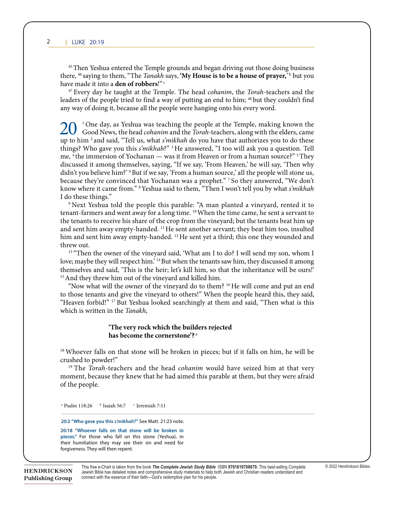19:38

*1506* **|** LUKE

<sup>45</sup> Then Yeshua entered the Temple grounds and began driving out those doing business there, <sup>46</sup> saying to them, "The *Tanakh* says, 'My House is to be a house of prayer,'<sup>b</sup> but you have made it into a **den of robbers**!"<sup>c</sup>

 $\mathcal{A}_1$  when  $\mathcal{A}_2$  is the come come could see the could see the city,  $\mathcal{A}_3$  saying,  $\mathcal{A}_4$ 

<sup>47</sup> Every day he taught at the Temple. The head cohanim, the Torah-teachers and the any way of doing it, because all the people were hanging onto his every word. leaders of the people tried to find a way of putting an end to him; <sup>48</sup> but they couldn't find

 $\Omega$ up to him <sup>2</sup> and said, "Tell us, what *s'mikhah* do you have that authorizes you to do these me, <sup>4</sup> the immersion of Yochanan — was it from Heaven or from a human source?" <sup>5</sup> They me, <sup>4</sup>the immersion of Yochanan — was it from Heaven or from a human source?" <sup>5</sup>They<br>discussed it among themselves, saying, "If we say, 'From Heaven,' he will say, 'Then why didn't you believe him?' 6 But if we say, 'From a human source,' all the people will stone us, because they're convinced that Yochanan was a prophet." <sup>7</sup> So they answered, "We don't<br>know where it came from." <sup>8</sup> Yeshua said to them, "Then I won't tell you by what *s'mikhah* I do these things." The contract of the contract of the contract of the contract of the contract of the contract of the contract of the contract of the contract of the contract of the contract of the contract of the contra 20 <sup>1</sup>One day, as Yeshua was teaching the people at the Temple, making known the Good News, the head *cohanim* and the *Torah*-teachers, along with the elders, came things? Who gave you this *s'mikhah*?"<sup>3</sup> He answered, "I too will ask you a question. Tell know where it came from." <sup>8</sup> Yeshua said to them, "Then I won't tell you by what *s'mikhah* ay, as Yeshua was teaching the people at the

<sup>9</sup> Next Yeshua told the people this parable: "A man planted a vineyard, rented it to tenant-farmers and went away for a long time. <sup>10</sup> When the time came, he sent a servant to the tenants to receive his share of the crop from the vineyard; but the tenants beat him up and sent him away empty-handed. <sup>11</sup> He sent another servant; they beat him too, insulted him and sent him away empty-handed.<sup>12</sup>He sent yet a third; this one they wounded and 47 Every day he taught at the Temple. The head *cohanim*, the *Torah*-teachers and the threw out. LUKE 20:42  $\Delta$  threw out.

<sup>13</sup> "Then the owner of the vineyard said, 'What am I to do? I will send my son, whom I love; maybe they will respect him.' <sup>14</sup> But when the tenants saw him, they discussed it among love; maybe they will respect him.<sup>2</sup> <sup>14</sup> But when the tenants saw him, they discussed it among <sup>15</sup> And they threw him out of the vineyard and killed him.<br>"Now what will the owner of the vineyard do to them? <sup>16</sup> He will come and put an end <sup>15</sup> And they threw him out of the vineyard and killed him. themselves and said, 'This is the heir; let's kill him, so that the inheritance will be ours!'  $t_{\text{15}}$  "Then the owner of the vineyard said, `What am I to do? I will send my son, whom I

to those tenants and give the vineyard to others!" When the people heard this, they said, the model common model who gave the computer to contract the state meap proper means only also, "I heaven forbidl"  $m$  is the immersion  $\frac{1}{2}$  for  $\frac{1}{2}$  from  $\frac{1}{2}$   $\frac{1}{2}$   $\frac{1}{2}$   $\frac{1}{2}$   $\frac{1}{2}$   $\frac{1}{2}$   $\frac{1}{2}$   $\frac{1}{2}$   $\frac{1}{2}$   $\frac{1}{2}$   $\frac{1}{2}$   $\frac{1}{2}$   $\frac{1}{2}$   $\frac{1}{2}$   $\frac{1}{2}$   $\frac{1}{2}$   $\frac{1}{2}$  discussed it allows the same says 'From Heaven,' he will say the will say that will say the will say that we say the will say that we say that we say that we say that we say that we say that we say that we will say that we "Heaven forbid!" <sup>17</sup> But Yeshua looked searchingly at them and said, "Then what is this which is written in the *Tanakh*,

#### 'The very rock which the builders rejected has become the cornerstone'?<sup>3</sup>  $k$ <sub>k</sub> where  $k$  is the intersection. I do these things."

 $^{18}$  Whoever folle o whoever hans on that stone will be broken in pleces, but if it hans on finit, ne will be <sup>18</sup> Whoever falls on that stone will be broken in pieces; but if it falls on him, he will be crushed to powder!" and sent another server server server server server server server server server server server server server server server server server server server server server server server server server server ser can no longer die. Being children of the Resurrection, they are like angels; indeed, they are <sup>co</sup> whoever falls  $\Omega$  is the showed to powder!

<sup>19</sup> The *Torah*-teachers and the head *cohanim* would have seized him at that very the tenants and the head common would have selected thin at that very moment, oceaase they knew that he had anned this paraole at them, out they were arraid of the people. moment, because they knew that he had aimed this parable at them, but they were afraid  $\frac{1}{1}$  the people.  $\mathbf{1}$   $\mathbf{1}$ of the people. <sup>13</sup> The *Ioran*-teachers and the head *cohanim* would have seized him at that very 39 Some of the *Torah*-teachers answered, "Well spoken, Rabbi." 40 For they no longer dared

love; maybe they will respect him.' 14 But when the tenants saw him, they discussed it among

<sup>a</sup> Psalm 118:26  $\rightarrow$  Isaiah 56:7 <sup>c</sup> Jeremiah 7:11  $\mathbf{r}$ represented themselves as right seize hold of something  $\mathbf{r}$ <sup>a</sup> Psalm 118:26 <sup>b</sup> Isaiah 56:7 <sup>c</sup> Ieremiah 7:11

a Psalm 118:22 biz

**20:2 "Who gave you this** *s'mikhah?"* See Matt. 21:23 note.

Deuteronomy 25:5 c Exodus 3:6

20:2 who gave you and s*imiliam.* See math 21:23 hote.<br>20:18 "Whoever falls on that stone will be broken in their humiliation they may see their sin and need for zu:18 "whoever rails on that stone will be broken in<br>pieces." For those who fall on this stone (Yeshua), in forgiveness. They will then repent.

This free e-Chart is taken from the book *The Complete Jewish Study Bible* ISBN 9781619708679. This best-selling Complete © 2022 Hendrickson Bibles. **IN** Jewish Bible has detailed notes and comprehensive study materials to help both Jewish and Christian readers understand and<br><u>nazione the twith the essence of their faith—God's redemptive plan for his people</u> connect with the essence of their faith—God's redemptive plan for his people. *sh'eilah*: "Rabbi, Moshe wrote for us that **if a man dies leaving a wife but no children, his** 

 $\mathcal{L}_{\mathcal{A}}$  , and they were unable to trap him by any thing him by any thing he said publicly; independing at his  $\mathcal{A}$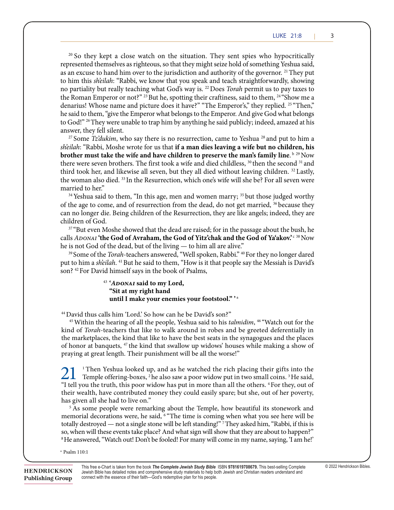represented themselves as righteous, so that they might seize hold of something Yeshua said, as an excuse to hand him over to the jurisdiction and authority of the governor. <sup>21</sup> They put to him this *sh'eilah*: "Rabbi, we know that you speak and teach straightforwardly, showing no partiality but really teaching what God's way is. <sup>22</sup> Does *Torah* permit us to pay taxes to the Roman Emperor or not?" <sup>23</sup> But he, spotting their craftiness, said to them, <sup>24</sup> "Show me a denarius! Whose name and picture does it have?" "The Emperor's," they replied. <sup>25 "</sup>Then," to God!" <sup>26</sup> They were unable to trap him by anything he said publicly; indeed, amazed at his answer thay fall silont answer, they fell silent.  $20$  So they kept a close watch on the situation. They sent spies who hypocritically he said to them, "give the Emperor what belongs to the Emperor. And give God what belongs **Pharisees and Sadducees in the New Testament Era Pharisees and Sadducees in the New Testament Era** 

sheilah: "Rabbi, Moshe wrote for us that if a man dies leaving a wife but no children, his brother must take the wife and have children to preserve the man's family line.<sup>b 29</sup> Now there were seven brothers. The first took a wife and died childless, <sup>30</sup> then the second <sup>31</sup> and third took her, and likewise all seven, but they all died without leaving children. <sup>32</sup> Lastly, the woman also died. <sup>33</sup> In the Resurrection, which one's wife will she be? For all seven were the woman also died. <sup>33</sup> In the Resurrection, which one's wife will she be? For all seven were married to her." ducees, or in Hebrew, the *Tzydukim*. The *Tzydukim* married to her." <sup>27</sup> Some *Tz'dukim*, who say there is no resurrection, came to Yeshua<sup>28</sup> and put to him a woman also died. <sup>26</sup> In the Resurrection,  $\frac{1}{2}$  an urea without reaving emitten. Eas woman also died. <sup>33</sup> In the Resurrection, which one's wife will she be? For all seven w  $\mu$  were seven products. The first took a rd took her, and likewise all seven, but they all died without leaving children.  $^{\omega}$  L practice in the synagogue and on following *Torah* It and the condensity then the second

<sup>34</sup> Yeshua said to them, "In this age, men and women marry; <sup>35</sup> but those judged worthy of the age to come, and of resurrection from the dead, do not get married, <sup>36</sup> because they can no longer die. Being children of the Resurrection, they are like angels; indeed, they are children of God. that the books of the pay taxes to pay taxes to pay the prophets should be in the Prophets should be in the Prophets should be in the Prophets should be in the Prophets should be in the Prophets should be  $\sigma$ . The two schools schools, Rabbi Hillel and  $\sigma$ . Rabbi Shammai, both of whom had recently died  $\frac{1}{2}$  believe in the result of  $\frac{1}{2}$  in the result of  $\frac{1}{2}$  in  $\frac{2}{3}$ the total the books of the the red  $B = \text{Tr}(\mathbf{r})$  of  $\mathbf{r}$  and  $\mathbf{r}$  $\frac{1}{2}$  movement. The Pharisaic movement. The Pharis meetion, they are like angels, muceu, the

<sup>37</sup> "But even Moshe showed that the dead are raised; for in the passage about the bush, he calls ADONAI 'the God of Avraham, the God of Yitz'chak and the God of Ya'akov.'<sup>c38</sup> Now he is not God of the dead, but of the living — to him all are alive." businessmen and the *cohanim* (priests). According <sup>97</sup> "But even Moshe showed that the dead are raised; for in the passage about the bush,

<sup>39</sup> Some of the *Torah*-teachers answered, "Well spoken, Rabbi." <sup>40</sup> For they no longer dared put to him a sh'eilah. <sup>41</sup> But he said to them, "How is it that people say the Messiah is David's son? <sup>42</sup> For David himself says in the book of Psalms,

<sup>43</sup> 'ADONAI said to my Lord, **brother must take the wife and have children to preserve the man's family line**. **"Sit at my right hand "Sit at my right hand** the were seen brothers. The first term is the first took at my right hand. until I make your enemies your footstool." 'a

<sup>44</sup> David thus calls him 'I ord' So how can be be David's son?" <sup>44</sup> David thus calls him 'Lord.' So how can he be David's son?"

**pieces."** For those who fall on this stone (Yeshua), in

<sup>45</sup> Within the hearing of all the people, Yeshua said to his *talmidim*, <sup>46</sup> "Watch out for the kind of Torah-teachers that like to walk around in robes and be greeted deferentially in the marketplaces, the kind that like to have the best seats in the synagogues and the places of honor at banquets, <sup>47</sup> the kind that swallow up widows' houses while making a show of praying at great length. Their punishment will be all the worse!"

<sup>1</sup> Then Yeshua looked up, and as he watched the rich placing their gifts into the 21 <sup>1</sup>Then Yeshua looked up, and as he watched the rich placing their gifts into the Temple offering-boxes, <sup>2</sup> he also saw a poor widow put in two small coins. <sup>3</sup> He said, "I tell you the truth, this poor widow has put in more than all the others. <sup>4</sup> For they, out of their wealth, have contributed money they could easily spare; but she, out of her poverty, has given all she had to live on." has given all she had to live on."

memorial decorations were, he said, <sup>6</sup> "The time is coming when what you see here will be so, when will these events take place? And what sign will show that they are about to happen?" **pieces.** The form of the fact of the fall of the store (Yeshua), in the store (Yeshua), in the store (Yeshua), in the store (Yeshua), in the store (Yeshua), in the store (Yeshua), in the store (Yeshua), in the store (Yesh <sup>8</sup>He answered, "Watch out! Don't be fooled! For many will come in my name, saying, 'I am he!' <sup>5</sup> As some people were remarking about the Temple, how beautiful its stonework and totally destroyed — not a single stone will be left standing!"<sup>7</sup> They asked him, "Rabbi, if this is

forgiveness. They will then repent. <sup>a</sup> Psalm 110:1 <sup>a</sup> Psalm 110:1

crushed to powder!"

This free e-Chart is taken from the book *The Complete Jewish Study Bible* ISBN **9781619708679.** This best-selling Complete [© 2022 Hendrickson Bibles.](http://www.rose-publishing.com/Assets/ClientPages/echart.aspx)  Jewish Bible has detailed notes and comprehensive study materials to help both Jewish and Christian readers understand and connect with the essence of their faith—God's redemptive plan for his people.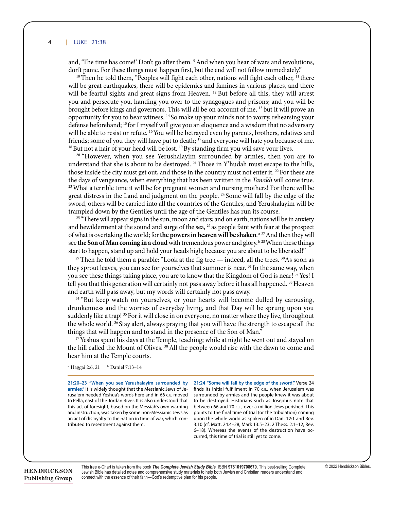#### *1506* **|** LUKE 4 LUKE 21:38 19:38

and, 'The time has come!' Don't go after them. <sup>9</sup> And when you hear of wars and revolutions, don't panic. For these things must happen first, but the end will not follow immediately."

<sup>10</sup>Then he told them, "Peoples will fight each other, nations will fight each other, <sup>11</sup> there will be great earthquakes, there will be epidemics and famines in various places, and there will be fearful sights and great signs from Heaven.<sup>12</sup> But before all this, they will arrest you and persecute you, handing you over to the synagogues and prisons; and you will be you and persecute you, handing you over to the synagogues and prisons; and you will be brought before kings and governors. This will all be on account of me, <sup>13</sup> but it will prove an opportunity for you to bear witness. 14 So make up your minds not to worry, rehearsing your opportunity for you to bear witness. 14 So make up your minds not to worry, rehearsing your defense beforehand; <sup>15</sup> for I myself will give you an eloquence and a wisdom that no adversary will be able to resist or refute. <sup>16</sup> You will be betrayed even by parents, brothers, relatives and  $18$  But not a hair of your head will be lost.  $19$  By standing firm you will save your lives. friends; some of you they will have put to death; <sup>17</sup> and everyone will hate you because of me. <sup>18</sup> But not a hair of your head will be lost. <sup>19</sup> By standing firm you will save your lives.

<sup>20</sup> "However, when you see Yerushalayim surrounded by armies, then you are to understand that she is about to be destroyed. <sup>21</sup> Those in Y'hudah must escape to the hills, those inside the city must get out, and those in the country must not enter it.<sup>22</sup> For these are the days of vengeance, when everything that has been written in the *Tanakh* will come true.<br><sup>23</sup> What a terrible time it will be for pregnant women and nursing mothers! For there will be great distress in the Land and jud great distress in the Land and judgment on the people. <sup>24</sup> Some will fall by the edge of the sword, others will be carried into all the countries of the Gentiles, and Yerushalayim will be sword, others will be carried into all the countries of the Gentiles, and Yerushalayim will be<br>trampled down by the Gentiles until the age of the Gentiles has run its course.

<sup>25 "</sup>There will appear signs in the sun, moon and stars; and on earth, nations will be in anxiety and bewilderment at the sound and surge of the sea, <sup>26</sup> as people faint with fear at the prospect and bewilderment at the sound and surge of the sea,  $^{26}$  as people faint with fear at the prospect of what is overtaking the world; for **the powers in heaven will be shaken**.<sup>a 27</sup> And then they will see **the Son of Man coming in a cloud** with tremendous power and glory.<sup>b 28</sup> When these things see **the Son of Man coming in a cloud** with tremendous power and glory.<sup>b 28</sup> When these things<br>start to happen, stand up and hold your heads high; because you are about to be liberated!"

<sup>29</sup> Then he told them a parable: "Look at the fig tree — indeed, all the trees. <sup>30</sup>As soon as they sprout leaves, you can see for yourselves that summer is near.<sup>31</sup> In the same way, when you see these things taking place, you are to know that the Kingdom of God is near!<sup>32</sup>Yes! I<br>tell you that this generation will certainly not pass away before it has all happened.<sup>33</sup>Heaven tell you that this generation will certainly not pass away before it has all happened. <sup>33</sup> Heaven and earth will pass away, but my words will certainly not pass away.

<sup>34</sup> "But keep watch on yourselves, or your hearts will become dulled by carousing, drunkenness and the worries of everyday living, and that Day will be sprung upon you suddenly like a trap! 35 For it will close in on everyone, no matter where they live, throughout the whole world. <sup>36</sup> Stay alert, always praying that you will have the strength to escape all the things that will happen and to stand in the presence of the Son of Man."

<sup>37</sup>Yeshua spent his days at the Temple, teaching; while at night he went out and stayed on the hill called the Mount of Olives.<sup>38</sup> All the people would rise with the dawn to come and hear him at the Temple courts.

<sup>a</sup> Haggai 2:6, 21 <sup>b</sup> Daniel 7:13–14  $\frac{1}{\sqrt{1-\frac{1}{\sqrt{1-\frac{1}{\sqrt{1-\frac{1}{\sqrt{1-\frac{1}{\sqrt{1-\frac{1}{\sqrt{1-\frac{1}{\sqrt{1-\frac{1}{\sqrt{1-\frac{1}{\sqrt{1-\frac{1}{\sqrt{1-\frac{1}{\sqrt{1-\frac{1}{\sqrt{1-\frac{1}{\sqrt{1-\frac{1}{\sqrt{1-\frac{1}{\sqrt{1-\frac{1}{\sqrt{1-\frac{1}{\sqrt{1-\frac{1}{\sqrt{1-\frac{1}{\sqrt{1-\frac{1}{\sqrt{1-\frac{1}{\sqrt{1-\frac{1}{\sqrt{1-\frac{1}{\sqrt{1-\frac{1}{\sqrt{1-\frac{1$ 

**21:20–23 "When you see Yerushalayim surrounded by**  21:20–23 "When you see Yerushalayim surrounded by rusalem heeded Yeshua's words here and in 66 c.E. moved<br>the Palla, aset of the Jandar River. It is also understand that to Pella, east of the Jordan River. It is also understood that this act of foresight, based on the Messiah's own warning an act of disloyalty to the nation in time of war, which contributed to resentment against them.

armies." It is widely thought that the Messianic Jews of Je-<br>
finds its initial fulfillment in 70 C.E., when Jerusalem was and instruction, was taken by some non-Messianic Jews as points to the final time of trial (or the tribulation) coming **21:24 "Some will fall by the edge of the sword."** Verse 24 21:20-23 "When you see Yerushalayim surrounded by 21:24 "Some will fall by the edge of the sword." Verse 24 finds its initial fulfillment in 70 c.E., when Jerusalem was surrounded by armies and the people knew it was about to be destroyed. Historians such as Josephus note that of ena, east of the boldarifive. It is also differenced that the between 66 and 70 C.E., over a million Jews perished. This his act of foresight, based on the Messiah's own warning between 66 and 70 C.E., over a million Je points to the final time of trial (or the tribulation) coming upon the whole world as spoken of in Dan. 12:1 and Rev. 3:10 (cf. Matt. 24:4–28; Mark 13:5–23; 2 Thess. 2:1–12; Rev. 6–18). Whereas the events of the destruction have occurred, this time of trial is still yet to come.

**HENDRICKSON** Publishing Group This free e-Chart is taken from the book *The Complete Jewish Study Bible* ISBN **9781619708679.** This best-selling Complete [© 2022 Hendrickson Bibles.](http://www.rose-publishing.com/Assets/ClientPages/echart.aspx)  Jewish Bible has detailed notes and comprehensive study materials to help both Jewish and Christian readers understand and connect with the essence of their faith—God's redemptive plan for his people.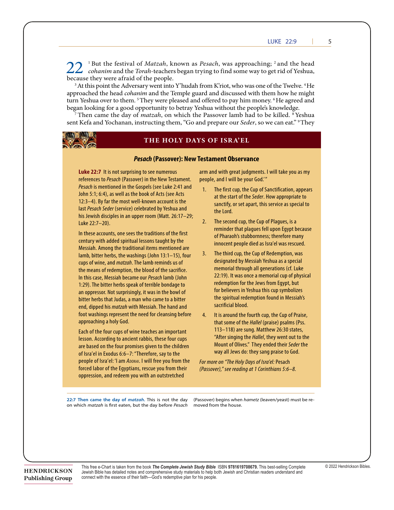$\angle\angle$  cohanim and the Torah-teachers began trying to find some way to get rid of Yeshua. because they were afraid of the people. 22<sup>1</sup>But the festival of *Matzah*, known as *Pesach*, was approaching; <sup>2</sup> and the head *cohanim* and the *Torah*-teachers began trying to find some way to get rid of Yeshua,

<sup>3</sup> At this point the Adversary went into Y'hudah from K'riot, who was one of the Twelve. <sup>4</sup> He approached the head *cohanim* and the Temple guard and discussed with them how he might turn Yeshua over to them. <sup>5</sup> They were pleased and offered to pay him money. <sup>6</sup> He agreed and began looking for a good opportunity to betray Yeshua without the people's knowledge.

sent Kefa and Yochanan, instructing them, "Go and prepare our *Seder*, so we can eat." <sup>9</sup> They 7 Then came the day of *matzah*, on which the Passover lamb had to be killed. 8 Yeshua



crushed to powder!"

### **has become the cornerstone'?**<sup>a</sup> **THE HOLY DAYS OF ISRA'EL**

## *Pesach* **(Passover): New Testament Observance**

**Luke 22:7** It is not surprising to see numerous arm and with great judgments. I will take you as my moment, because they knew that he had aimed this parable at them, but they were afraid references to *Pesach* (Passover) in the New Testament. of the people. *Pesach* is mentioned in the Gospels (see Luke 2:41 and 20 John 5:1; 6:4), as well as the book of Acts (see Acts هند المستخدم المستخدم المستخدم المستخدم المستخدم المستخدم<br>20 at the start of the Seder How appropriate to represent the state of the State of the State of the State of the State of the State of the State of the seize hold of the state of the state of the state of the state of the state of the state of the state of the state of last *Pesach Seder* (service) celebrated by Yeshua and **the governoring of the governoring** of the governoring the governoring the governoring the governoring the governoring the governoring the governoring the governoring his Jewish disciples in an upper room (Matt. 26:17–29;<br>https://web.com/web.com/web/2012/web/2012/web/2012/web/2012/web/2012/web/2012/web/2012/web/2012/web/2012/web/2 **Luke 22:7** It is not surprising to see numerous Luke 22:7–20).

dentury with added spiritual lessons taught by the emperor innocent people died as Isra'el was rescued. he said to the said to the Emperor who can give the Emperor who can be the second.<br>Messiah. Among the traditional items mentioned are<br> $\frac{3}{2}$ . The third cun the Cun of Redemption, was to God the God the God in the God in the said public to the same to the same to tradition, the same results in<br>Cups of wine and *matzah*. The lamb reminds us of and designated by Messiah Yeshua as a special and *mazan*: the lamb reminds as of the means of redemption, the blood of the sacrifice. In this case. Messiah became our *Pesach* lamb (John 22:19). It was once a memorial cup of physical 1:29). The bitter herbs speak of terrible bondage to **the manufacture for the lews from Egypt**, but an oppressor. Not surprisingly, it was in the bowl of **the mannitorial state of the manusculpule** on the manima o bitter herbs that Judas, a man who came to a bitter **the second 31 and 1998** the second 31 and 31 and 31 and 31 and 31 and 31 and 31 and 31 and 31 and 31 and 31 and 31 and 31 and 31 and 31 and 31 and 31 and 31 and 31 and 3 third took her, and all died with Messiah. The hand and **Example 20 Lastly, and the same of the seven**, and and sacrificial blood. foot washings represent the need for cleansing before 4. It is around the fourth cup, the Cup of Praise, **married to her approaching a holy God.** century with added spiritual lessons taught by the lamb, bitter herbs, the washings (John 13:1–15), four cups of wine, and *matzah*. The lamb reminds us of In this case, Messiah became our *Pesach* lamb (John foot washings represent the need for cleansing before

lesson. According to ancient rabbis, these four cups **the age to analyze the dead, do not get married, and of th**<br>Mount of Olives " They ended their *Seder* the are based on the rour promises given to the children<br>of Isra'el in Exodus 6:6–7: "Therefore, say to the way all Jews do: they sang praise to God. children of Isra'el: 'I am *ADONAI*. I will free you from the for the deal are raised; for interest the passage are reading at 1 Corinol Corporations of the Egyptians, rescue you from their *(Passover)," see reading at 1 Corinthians 5:6–8*. **Examples 2008** oppression, and redeem you with an outstretched are based on the four promises given to the children of Isra'el in Exodus 6:6–7: "Therefore, say to the

he is not God of the dead, but of the living — to him all are alive."

people, and I will be your God."

- 1. The first cup, the Cup of Sanctification, appears at the start of the *Seder*. How appropriate to sanctify, or set apart, this service as special to the Lord.
- no partial teaching what God's way is. 22 Does *Torah perminder that plagues fell upon Egypt because*<br>reminder that plagues fell upon Egypt because In these accounts, one sees the traditions of the first examples the property of Pharaoh's stubbornness: therefore many 2. The second cup, the Cup of Plagues, is a of Pharaoh's stubbornness; therefore many
	- for believers in Yeshua this cup symbolizes 3. The third cup, the Cup of Redemption, was memorial through all generations (cf. Luke redemption for the Jews from Egypt, but the spiritual redemption found in Messiah's sacrificial blood.
	- 34 I 13–118) are sung. Matthew 26:30 states, Each of the four cups of wine teaches an important<br>After cinging the Hallel, thou went out to the that some of the *Hallel* (praise) psalms (Pss. 113–118) are sung. Matthew 26:30 states, "After singing the *Hallel*, they went out to the Mount of Olives." They ended their *Seder* the

*For more on "The Holy Days of Isra'el:* Pesach *(Passover)," see reading at 1 Corinthians 5:6–8.*

22:7 Then came the day of *matzah*. This is not the day (Passover) begins when *hametz* (leaven/yeast) must be reon which *matzah* is first eaten, but the day before *Pesach* moved

(Passover) begins when *hametz* (leaven/yeast) must be removed from the house.

**HENDRICKSON Publishing Group**  This free e-Chart is taken from the book *The Complete Jewish Study Bible* ISBN **9781619708679.** This best-selling Complete [© 2022 Hendrickson Bibles.](http://www.rose-publishing.com/Assets/ClientPages/echart.aspx)  Jewish Bible has detailed notes and comprehensive study materials to help both Jewish and Christian readers understand and connect with the essence of their faith—God's redemptive plan for his people.

39 Some of the *Torah*-teachers answered, "Well spoken, Rabbi." 40 For they no longer dared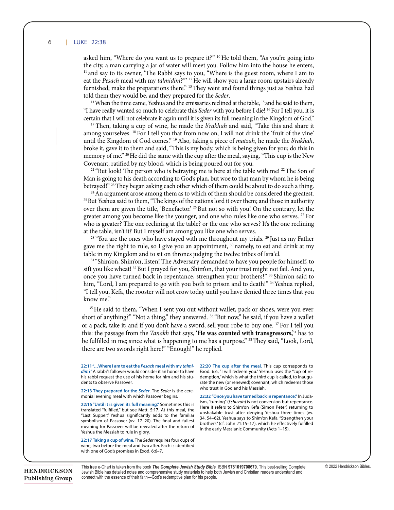asked him, "Where do you want us to prepare it?" <sup>10</sup> He told them, "As you're going into the city, a man carrying a jar of water will meet you. Follow him into the house he enters,<br>Hend out to its overall into Babbi ours to you. "Where is the guest nearly where I am to  $11$  and say to its owner, 'The Rabbi says to you, "Where is the guest room, where I am to and say to its owner, The Rabbi says to you, Where is the guest foom, where I am to eat the *Pesach* meal with my *talmidim*?" <sup>12</sup> He will show you a large room upstairs already furnished; make the preparations there." <sup>13</sup> They went and found things just as Yeshua had<br>told them they would be and they prepared for the Sadar told them they would be, and they prepared for the *Seder*.

<sup>14</sup> When the time came, Yeshua and the emissaries reclined at the table, <sup>15</sup> and he said to them, "The time tame, restrict the enforcement at the taste," and the state is them,"<br>"I have really wanted so much to celebrate this *Seder* with you before I die! <sup>16</sup> For I tell you, it is certain that I will not celebrate it again until it is given its full meaning in the Kingdom of God."

<sup>17</sup> Then, taking a cup of wine, he made the *b'rakhah* and said, "Take this and share it among yourselves. <sup>18</sup> For I tell you that from now on, I will not drink the 'fruit of the vine' until the Kingdom of God comes."<sup>19</sup> Also, taking a piece of *matzah*, he made the *b'rakhah*, broke it, gave it to them and said, "This is my body, which is being given for you; do this in memory of me." <sup>20</sup> He did the same with the cup after the meal, saying, "This cup is the New Covenant, ratified by my blood, which is being poured out for you.

<sup>21</sup> "But look! The person who is betraying me is here at the table with me! <sup>22</sup> The Son of Man is going to his death according to God's plan, but woe to that man by whom he is being Man is going to his death according to God's plan, but woe to that man by whom he is being<br>betrayed!" <sup>23</sup> They began asking each other which of them could be about to do such a thing.

<sup>24</sup> An argument arose among them as to which of them should be considered the greatest.<br><sup>25</sup> But Yeshua said to them, "The kings of the nations lord it over them; and those in authority over them are given the title, 'Benefactor.' <sup>26</sup> But not so with you! On the contrary, let the  $\frac{1}{12}$ greater among you become like the younger, and one who rules like one who serves.<sup>27</sup> For who is greater? The one reclining at the table? or the one who serves? It's the one reclining at the table in  $\mathcal{X}^*$  but I may of am among you like an axis because who is greater. The one rechning at the table: or the one who serves: its the one rechning<br>at the table, isn't it? But I myself am among you like one who serves.  $^{24}$  An argument arose among them as to which of them should be considered the greatest.

<sup>28</sup> "You are the ones who have stayed with me throughout my trials.<sup>29</sup> Just as my Father<br><sup>28</sup> "You are the ones who have stayed with me throughout my trials.<sup>29</sup> Just as my Father<br>gave me the right to rule, so I give you gave me the right to rule, so I give you an appointment, <sup>30</sup> namely, to eat and drink at my taught at the Temple. table in my Kingdom and to sit on thrones judging the twelve tribes of Isra'el.

<sup>31</sup> "Shimon, Shimon, listen! The Adversary demanded to have you people for himself, to sift you like wheat! <sup>32</sup> But I prayed for you, Shimon, that your trust might not fail. And you, once you have turned back in repentance, strengthen your brothers!" <sup>33</sup> Shim'on said to<br>him, "Lord, I am prepared to go with you both to prison and to death!" <sup>34</sup> Yeshua replied, him, "Lord, I am prepared to go with you both to prison and to death!" <sup>34</sup> Yeshua replied, "I tell you, Kefa, the rooster will not crow today until you have denied three times that you know me." the gave you thing *state will ask you* the *state will ask you* a gave  $\mathbb{R}^n$ .

**22:11 "…Where I am to eat the** *Pesach* **meal with my** *talmidimensions* the dimension of the model consider it and the state it and the state it and the state it and the state it and the state it and the state it and the state it and the state it and the state it and the state it this: the passage from the Tanakh that says, 'He was counted with transgressors,' a has to be fulfilled in me; since what is happening to me has a purpose." <sup>38</sup> They said, "Look, Lord, **22:13 They prepared for the** *Seder***.** The *Seder* is the ceremonial evening meal with which Passover begins. **22:20 The cup after the meal.** This cup corresponds to or a pack, take it; and if you don't have a sword, sell your robe to buy one.<sup>37</sup> For I tell you there are two swords right here!" "Enough!" he replied. **22:32 "Once you have turned back in repentance."** In Juda-31 "Shim'on, Shim'on, listen! The Adversary demanded to have you people for himself, to <sup>35</sup> He said to them, "When I sent you out without wallet, pack or shoes, were you ever short of anything?" "Not a thing," they answered. <sup>36</sup> "But now," he said, if you have a wallet

**22:16 "Until it is given its full meaning."** Sometimes this is translated "fulfi lled," but see Matt. 5:17. At this meal, the **22:11 "…Where I am to eat the** *Pesach* **meal with my** *talmi*dim?" A rabbi's follower would consider it an honor to have his rabbi request the use of his home for him and his students to observe Passover.

monial evening meal with which Passover begins.

translated "fulfilled," but see Matt. 5:17. At this meal, the "Last Supper," Yeshua significantly adds to the familiar meaning for Passover will be revealed after the return of Yeshua the Messiah to rule in glory. meaning for Passover will be revealed after the return of<br>Cochua the Messiah to rule in glory

restide the mession to rule in gro. y.<br>22:17 Taking a cup of wine. The *Seder* requires four cups of wine, two before the meal and two after. Each is identified with one of God's promises in Exod. 6:6–7.

let me do this," and, touching the man's ear, he healed him.

22:13 They prepared for the Seder. The Seder is the cere-<br>who trust in God and his Messiah. 22:11"...Where I am to eat the Pesach meal with my talmi- 22:20 The cup after the meal. This cup corresponds to dim?" A rabbi's follower would consider it an honor to have Exod. 6:6, "I will redeem you." Yeshua uses the "cup of redemption," which is what the third cup is called, to inaugunis rabbi request the use of his nome for min and his stu- admiption, which is what the third cup is called, to maugu-<br>dents to observe Passover. who trust in God and his Messiah.

Sm, "turning" (tshuvan) is not conversion but repentance.<br>Here it refers to Shim'on Kefa (Simon Peter) returning to symbolism of Passover (vv. 17–20). The final and fullest and the seal of the says to Shim'on Keta, "Strengthen your<br>Hotels had the man called Y which the man called the man called the man called Y which he effectively fulf monial evening meal with which Passover begins. **22:32 "Once you have turned back in repentance." In Juda**ism, "turning" (*t'shuvah*) is not conversion but repentance. Here it refers to Shim'on Kefa (Simon Peter) returning to transiated "fuifilled," but see Matt. 5:17. At this meal, the<br>"Last Supper." Yeshua significantly adds to the familiar 34, 54–62). Yeshua says to Shim'on Kefa, "Strengthen your brothers" (cf. John 21:15-17), which he effectively fulfilled

This free e-Chart is taken from the book The Complete Jewish Study Bible ISBN 9781619708679. This best-selling Complete © 2022 Hendrickson Bibles. Jewish Bible has detailed notes and comprehensive study materials to help both Jewish and Christian readers understand and connect with the essence of their faith—God's redemptive plan for his people.<br>connect with the essence of their faith—God's redemptive plan for his people.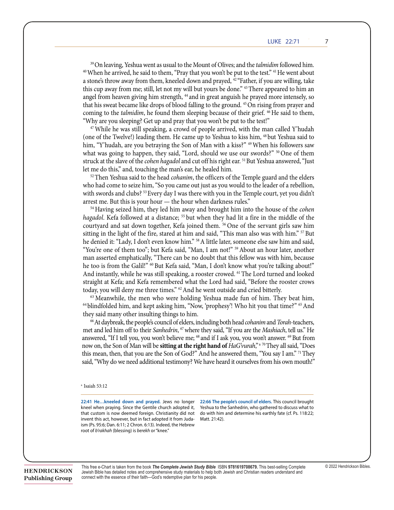*| 1509*

<sup>39</sup> On leaving, Yeshua went as usual to the Mount of Olives; and the *talmidim* followed him. <sup>39</sup>On leaving, Yeshua went as usual to the Mount of Olives; and the *talmidim* followed him.<br><sup>40</sup> When he arrived, he said to them, "Pray that you won't be put to the test." <sup>41</sup> He went about a stone's throw away from them, kneeled down and prayed, <sup>42</sup> "Father, if you are willing, take this cup away from me; still, let not my will but yours be done." <sup>43</sup>There appeared to him an and the property of the material of the material of the property of the property of the property of the property of the property of the property of the property of the property of the property of the property of the proper that his sweat became like drops of blood falling to the ground.<sup>45</sup> On rising from prayer and coming to the *talmidim*, he found them sleeping because of their grief. <sup>46</sup> He said to them,<br>"Why are you clearing? Cet up and may that you wan't be nut to the total" "Why are you sleeping? Get up and pray that you won't be put to the test!"

 $s_{\rm M}$  "Not a thing," "Not a thing,"  $\sim$  10  $\mu$  and if  $\sim$   $\mu$  have a walletted.  $\sim$   $\mu$ 

be fulfilled in me; since what is happening to me; since what is happening to me has a purpose." 38 They said,

<sup>47</sup> While he was still speaking, a crowd of people arrived, with the man called Y'hudah (one of the Twelve!) leading them. He came up to Yeshua to kiss him, <sup>48</sup> but Yeshua said to him, "Y'hudah, are you betraying the Son of Man with a kiss?" <sup>49</sup> When his followers saw that his sweat became like drops of blood falling to the ground.  $\frac{1}{4}$  or  $\frac{1}{4}$  or  $\frac{1}{4}$  or  $\frac{1}{4}$  or  $\frac{1}{4}$  or  $\frac{1}{4}$  or  $\frac{1}{4}$  or  $\frac{1}{4}$  or  $\frac{1}{4}$  or  $\frac{1}{4}$  or  $\frac{1}{4}$  or  $\frac{1}{4}$  or what was going to happen, they said, "Lord, should we use our swords?" <sup>50</sup> One of them<br>struck at the slave of the *cohen hagadol* and cut off his right ear <sup>51</sup> But Yeshua answered. "Just struck at the slave of the *cohen hagadol* and cut off his right ear. <sup>51</sup> But Yeshua answered, "Just  $\frac{47}{100}$  While  $\frac{47}{100}$  While  $\frac{4}{100}$  arrived, with the man called  $\frac{47}{100}$  are man called Y'hudaha called Y'hudaha called Y'hudaha called Y'hudaha called Y'hudaha called Y'hudaha called Y'hudaha called Y' let me do this," and, touching the man's ear, he healed him.

<sup>52</sup> Then Yeshua said to the head *cohanim*, the officers of the Temple guard and the elders who had come to seize him, "So you came out just as you would to the leader of a rebellion, with swords and clubs? <sup>53</sup> Every day I was there with you in the Temple court, yet you didn't arrest me. But this is your hour — the hour when darkness rules." arrest me. But this is your hour — the hour when darkness rules."

 $54$  Having seized him, they led him away and brought him into the house of the *cohen* hagadol. Kefa followed at a distance; <sup>55</sup> but when they had lit a fire in the middle of the courtyard and sat down together, Kefa joined them. <sup>56</sup> One of the servant girls saw him sitting in the light of the fire, stared at him and said, "This man also was with him." 57 But he denied it: "Lady, I don't even know him." <sup>58</sup> A little later, someone else saw him and said, "You're one of them too"; but Kefa said, "Man, I am not!" <sup>59</sup> About an hour later, another man asserted emphatically, "There can be no doubt that this fellow was with him, because he too is from the Galil!" 60 But Kefa said, "Man, I don't know what you're talking about!" And instantly, while he was still speaking, a rooster crowed. <sup>61</sup> The Lord turned and looked straight at Kefa; and Kefa remembered what the Lord had said, "Before the rooster crows today, you will deny me three times." <sup>62</sup> And he went outside and cried bitterly.

<sup>63</sup> Meanwhile, the men who were holding Yeshua made fun of him. They beat him,  $^{63}$  Meanwhile, the men who were holding Yeshua made fun of him. They beat him,  $^{64}$  blindfolded him, and kept asking him, "Now, 'prophesy'! Who hit you that time?"  $^{65}$  And they said many other insulting things to him.

<sup>66</sup> At daybreak, the people's council of elders, including both head *cohanim* and *Torah*-teachers, met and led him off to their Sanhedrin, <sup>67</sup> where they said, "If you are the *Mashiach*, tell us." He answered, "If I tell you, you won't believe me; " and if I ask you, you won't answer. " But from<br>now on, the Son of Man will be **sitting at the right hand of** *HaG'vurah*,"<sup>a 70</sup> They all said, "Does this mean, then, that you are the Son of God?" And he answered them, "You say I am." <sup>71</sup> They said, "Why do we need additional testimony? We have heard it ourselves from his own mouth!" answered, "If I tell you, you won't believe me; <sup>68</sup> and if I ask you, you won't answer. <sup>69</sup> But from

to pay taxes to the Emperor and claiming that he himself is the Messiah — a king!" 3 Pilate

#### $a$  Isaiah 53:12 <sup>a</sup> Isaiah 53:12  $12$

22:41 He...kneeled down and prayed. Jews no longer 22:66 The people's council of elders. This council brought **E2.41 He...Kneeled down and prayed.** Jews no longer<br>kneel when praying. Since the Gentile church adopted it, kited when praying. Since the dentific charen adopted it,<br>that custom is now deemed foreign. Christianity did not  $\frac{1}{2}$  ism (Ps. 95:6; Dan. 6:11; 2 Chron. 6:13). Indeed, the Hebrew  $\frac{1}{2}$ root of *b'rakhah* (blessing) is *berekh* or "knee." oot of *d* rakhan (diessing) is *defekti* of "khee." and act of disloyalty to the nation in time of war, which con-

kneel when praying. Since the Gentile church adopted it,

that castell is now decided foreign: emistiding and not the with him and determine instantly fact (e.f. s. 110.22)<br>invent this act, however, but in fact adopted it from Juda-Matt. 21:42). **22:66 The people's council of elders. This council brought** Yeshua to the Sanct down and prayed. Sews no longer. 22.00 the people's council of enders, this council blought<br>
the crowds, "I find no ground for a charge against the conditional fulfi liment determine his earthly fate of and the sumed in the permeasured to disease where the people and the people of the people and the people states of the people states. Matt. 21:42). to be destroyed as  $\frac{d}{dt}$  and  $\frac{d}{dt}$  as  $\frac{d}{dt}$  and  $\frac{d}{dt}$  are  $\frac{d}{dt}$ .  $\begin{bmatrix} 1 & 0 \\ 0 & 1 \end{bmatrix}$ 

**HENDRICKSON** Publishing Group

This free e-Chart is taken from the book The Complete Jewish Study Bible ISBN 9781619708679. This best-selling Complete © 2022 Hendrickson Bibles. Jewish Bible has detailed notes and comprehensive study materials to help both Jewish and Christian readers understand and<br>connect with the essence of their faith. Cedi's redemetive plan for his people. connect with the essence of their faith—God's redemptive plan for his people. his soldiers treated Yeshua with contempt and made fun of him. Then, dressing him in an